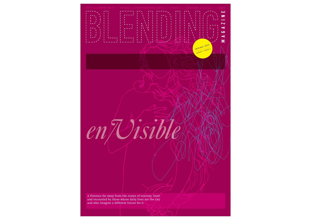A Florence far away from the routes of tourism, lived and recounted by those whose daily lives are the city and who imagine a different future for it.

*en/Visible*

**CITY & COMMUNITY**

SPRING 2013 YEAR 3 - ISSUE 1 z

 $\overline{\mathbf{v}}$  $\prec$  $\overline{c}$  $\overline{\mathbf{f}}$ Σ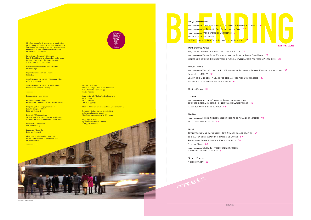A Day in the Life of GIANLUCA BALESTRA: LIFE IS A STAGE 25 A Day in the Life of DRABA TRIO: MARCHING TO THE BEAT OF THEIR OWN DRUM 29 Sights and Sounds: Re-discovering Florence with Music Professor Pietro Billi 32

# Performing Arts

A Day in the Life of Aurora Ciardelli: From the famous to the forbidden and hidden in the Tuscan Archipelago 42 IN SEARCH OF THE REAL TOURIST 46

# Visual Arts

A Day in the Life of ERIC MISTRETTA, F \_ AIR ARTIST IN RESIDENCE: SUBTLE VISIONS OF ABSURDITY 33 IN THE SPOT(LIGHT) 36 Something Like This: A Space for the Missing and Unaddressed 37 FOSCA: WELCOME TO THE NEIGHBORHOOD 37

# Photo Essay 38

# **Travel**

Semestrale / *Semesterly Magazine* Reg. Trib. di Firenze n° 5844 del 29 luglio 2011 Anno 3 – Numero 1 – Primavera 2013 / Year  $3 -$  Issue  $1 -$  Spring 2013

Caporedattore / *Editorial Director* Grace Joh

# Fashion

A Day in the Life of SILENO CHILENI: SECRET SCENTS OF AQUA FLOR FIRENZE 48 BEAUTY DOUBLE EXPOSED 52

# Food

TUTTOTOSCANA AT CAPANNELLE: THE CHIANTI COLLABORATION 54 TO BE A TEA-ENTHUSIAST IN A NATION OF COFFEE 57 Springtime: When Florence Has a New Face 58 OFF THE MENU 60

A Day in the Life of GIULIA JU - TOSHIFUMI MITSUBIKI: A MELTING POT OF CULTURES 61

Progetto grafico e impaginazione / *Graphic design and layout* Federico Cagnucci

Copertina / *Cover By* **Federico Cagnucci** 

> Short Story A Piece of Art 63



contents

*Blending Magazine* is a semesterly publication produced by the students and faculty members of Florence University of the Arts, the academic member of Palazzi Florence Association for International Education.

Direttore Responsabile / *Editor-in-chief* Matteo Brogi

Coordinamento editoriale / *Managing Editor* Federico Cagnucci

Coordinamento studenti / *Student Editors* Renee Puno, Yun-Yen Chuang

++++++++++++

In redazione / Masthead

Redazione / *Copy Editors* Renee Puno, Katelynn Rusnock, Laurel Yetter

Fotografi / *Photographers* Tiffany Aguiar, Yun-Yen Chuang, Holly Ciocci, Nicolette Sarzosa, David Weiss, Laurel Yetter

Illustratori / *Illustrators* Yun-Yen Chuang

Ringraziamenti / *Special Thanks To* Laurel Yetter, for the "A Day in the Life" interview series

++++++++++++



Editore / *Publisher* Florence Campus per INGORDA Editore Via Alfonso La Marmora 39 50121 Firenze

Sede editoriale / *Editorial Headquarters*: Corso Tintori 2150121 Firenze Tel. 055-0332745

Stampa / *Printer*: Grafiche Gelli s.r.l., Calenzano (FI)

Il numero è stato chiuso in redazione nel mese di maggio 2013 / *This issue was completed in May 2013*

Copyright © 2013 by Florence Campus, Firenze All rights reserved.

# City/Com<mark>mun</mark>ity

A Day in the Life of Town Councilor Titta Meucci: Florence, Forward A Day in the Life of Lei Disse Sì: Two Brides and A Blog 1 A Day in the Life of VANNI SANTONI: UNWRITTEN 17 BEYOND THE CITY CENTER 21 LA MIA CASA È LA TUA CASA: INSIDE ITALIAN FAMILIES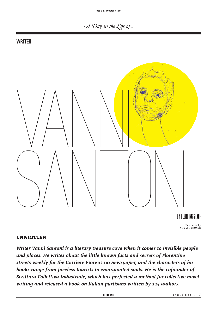### CITY & COMMUNITY

# A Day in the Life of...

# **WRITER**



BY BLENDING STAFF Illustration by YUN-YEN CHUANG

# **UNWRITTEN**

Writer Vanni Santoni is a literary treasure cove when it comes to invisible people and places. He writes about the little known facts and secrets of Florentine streets weekly for the Corriere Fiorentino newspaper, and the characters of his books range from faceless tourists to emarginated souls. He is the cofounder of Scrittura Collettiva Industriale, which has perfected a method for collective novel writing and released a book on Italian partisans written by 115 authors.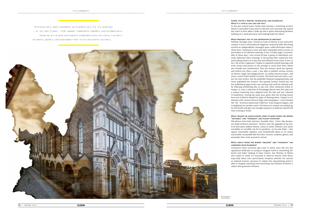# **Vanni, you're a writer, translator, and journalist.**

**What's a typical day like for you?**  In the past several years, books have become a totalizing activity, which is inevitable if you want to take the craft seriously. My typical day starts at 6am when I wake up and is spent alternating between working on a word processor and reading books by others.

#### **What brought you to the profession of writing?**

Halfway through 2004, I found an issue of *Mostro* at my university campus. It was a self-produced magazine created by folks who hung around an independently managed space called Elettropiù where I often went. I proposed a story and they responded with an invite to participate at an editorial meeting. It was a Friday night, inconceivable in those days, I was struck by how a group of individuals seriously dedicated their evenings to discussing their respective tests and reading classics in a way that was different from mine. It was, in fact, the writer's approach. I began to regularly attend meetings and write stories and poetry in the attempt to reach their level, which was already near professional. Thus the famous spark was ignited, and within less than a year, I was able to publish various articles on *Mostro*, begin *Personaggi precari*, an online literary project, and write a novel titled *Vasilij e la morte*. The book had even won a contest for new writers, but the publisher behaved inappropriately and never published the winners. The episode further incited me; the lost publishing opportunity was searing and could be relieved only by releasing something else, at any cost. After numerous failed attempts, in 2007 a selection of *Personaggi precari* won first place for a contest involving texts adapted from the web and was released in bookstores. During the same year, given that the writing frenzy born out of *Mostro* showed no signs of slowing down, I began to collaborate with various literary blogs and newspapers. I also founded the "SIC - Scrittura Industriale Collettiva" with Gregorio Magini, and I completed yet another novel. *Gli interessi in comune* was picked up by Feltrinelli and gave me enough exposure to dedicate myself full time to being a writer.

#### **What images or associations come to mind when the words "invisible" and "Florence" are placed together?**

The phrase from Italo Calvino's *Invisible Cities*, "Cities, like dreams, are made of desires and fears," which is also the epigraph of my novel *Se fossi fuoco arderei Firenze*, comes to mind. Florence very much resembles an invisible city for its qualities- or, by now, flaws - that appear immutable, lapidary, and symbolically dense as its stones and marble. Immutable like the relics, tourists, students, ghosts, and wannabes that circle around its streets.

#### **What about when the words "imagine" and "visionary" are combined with Florence?**

Visionaries from centuries ago come to mind, since the city has significant difficulty in trying to imagine itself as something different and when seeking to have visions. San Miniato al Monte also comes to mind. It's essential to observe Firenze from there, especially when one's particularly receptive whether for natural or induced reasons, because it's where the rationalizing mind is able to imagine anything and everything. San Miniato al Monte is radius that generates Florence.

Photograph by DAVID WEISS

18 \* **SPRING 2013**

**BLENDING** 

**BLENDING** 

 Florence very much resembles an invisible city for its qualities – or, by now, flaws – that appear immutable, lapidary, and symbolically dense as its stones and marble. Immutable like the relics, tourists, students, ghosts, and wannabes that circle around its streets..